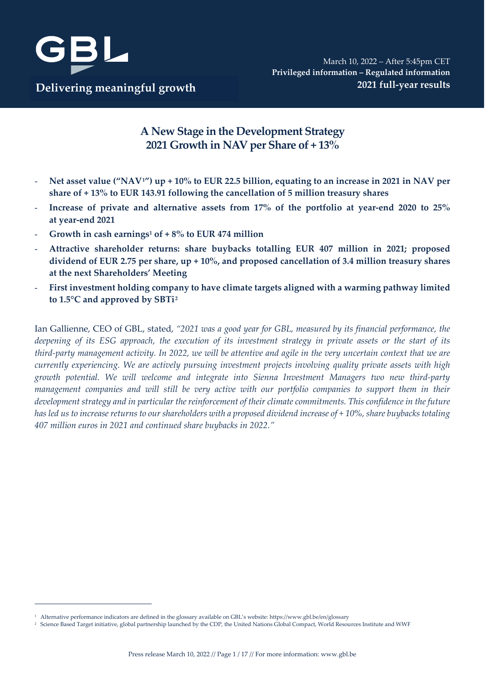

# **A New Stage in the Development Strategy 2021 Growth in NAV per Share of + 13%**

- **Net asset value ("NAV[1](#page-0-0)") up + 10% to EUR 22.5 billion, equating to an increase in 2021 in NAV per share of + 13% to EUR 143.91 following the cancellation of 5 million treasury shares**
- **Increase of private and alternative assets from 17% of the portfolio at year-end 2020 to 25% at year-end 2021**
- **Growth in cash earnings1 of + 8% to EUR 474 million**
- **Attractive shareholder returns: share buybacks totalling EUR 407 million in 2021; proposed dividend of EUR 2.75 per share, up + 10%, and proposed cancellation of 3.4 million treasury shares at the next Shareholders' Meeting**
- **First investment holding company to have climate targets aligned with a warming pathway limited to 1.5°C and approved by SBTi[2](#page-0-1)**

Ian Gallienne, CEO of GBL, stated, *"2021 was a good year for GBL, measured by its financial performance, the deepening of its ESG approach, the execution of its investment strategy in private assets or the start of its third-party management activity. In 2022, we will be attentive and agile in the very uncertain context that we are currently experiencing. We are actively pursuing investment projects involving quality private assets with high growth potential. We will welcome and integrate into Sienna Investment Managers two new third-party management companies and will still be very active with our portfolio companies to support them in their development strategy and in particular the reinforcement of their climate commitments. This confidence in the future has led us to increase returns to our shareholders with a proposed dividend increase of + 10%, share buybacks totaling 407 million euros in 2021 and continued share buybacks in 2022."* 

<span id="page-0-0"></span><sup>1</sup> Alternative performance indicators are defined in the glossary available on GBL's website[: https://www.gbl.be/en/glossary](https://www.gbl.be/en/glossary)

<span id="page-0-1"></span><sup>&</sup>lt;sup>2</sup> Science Based Target initiative, global partnership launched by the CDP, the United Nations Global Compact, World Resources Institute and WWF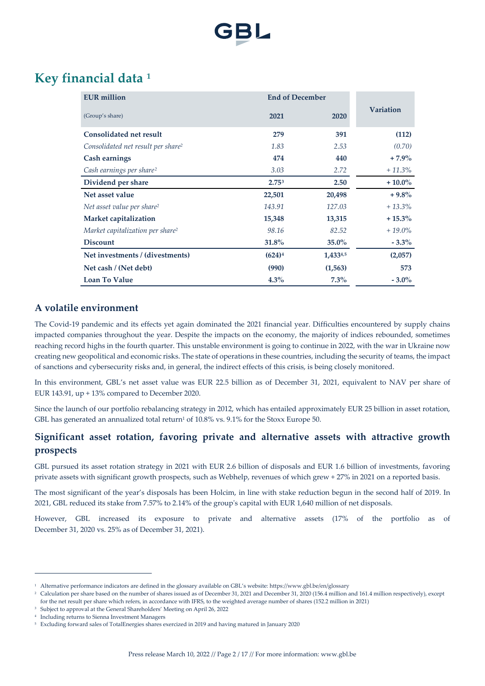

# **Key financial data [1](#page-1-0)**

| <b>EUR</b> million                             | <b>End of December</b> |          |                  |
|------------------------------------------------|------------------------|----------|------------------|
| (Group's share)                                | 2021                   | 2020     | <b>Variation</b> |
| <b>Consolidated net result</b>                 | 279                    | 391      | (112)            |
| Consolidated net result per share <sup>2</sup> | 1.83                   | 2.53     | (0.70)           |
| Cash earnings                                  | 474                    | 440      | $+7.9\%$         |
| Cash earnings per share <sup>2</sup>           | 3.03                   | 2.72     | $+11.3\%$        |
| Dividend per share                             | 2.75 <sup>3</sup>      | 2.50     | $+10.0\%$        |
| Net asset value                                | 22,501                 | 20,498   | $+9.8%$          |
| Net asset value per share <sup>2</sup>         | 143.91                 | 127.03   | $+13.3\%$        |
| Market capitalization                          | 15,348                 | 13,315   | $+15.3\%$        |
| Market capitalization per share <sup>2</sup>   | 98.16                  | 82.52    | $+19.0\%$        |
| <b>Discount</b>                                | 31.8%                  | $35.0\%$ | $-3.3\%$         |
| Net investments / (divestments)                | $(624)^4$              | 1,4334,5 | (2,057)          |
| Net cash / (Net debt)                          | (990)                  | (1.563)  | 573              |
| <b>Loan To Value</b>                           | $4.3\%$                | $7.3\%$  | $-3.0\%$         |

## **A volatile environment**

The Covid-19 pandemic and its effects yet again dominated the 2021 financial year. Difficulties encountered by supply chains impacted companies throughout the year. Despite the impacts on the economy, the majority of indices rebounded, sometimes reaching record highs in the fourth quarter. This unstable environment is going to continue in 2022, with the war in Ukraine now creating new geopolitical and economic risks. The state of operations in these countries, including the security of teams, the impact of sanctions and cybersecurity risks and, in general, the indirect effects of this crisis, is being closely monitored.

In this environment, GBL's net asset value was EUR 22.5 billion as of December 31, 2021, equivalent to NAV per share of EUR 143.91, up + 13% compared to December 2020.

Since the launch of our portfolio rebalancing strategy in 2012, which has entailed approximately EUR 25 billion in asset rotation, GBL has generated an annualized total return<sup>1</sup> of 10.8% vs. 9.1% for the Stoxx Europe 50.

# **Significant asset rotation, favoring private and alternative assets with attractive growth prospects**

GBL pursued its asset rotation strategy in 2021 with EUR 2.6 billion of disposals and EUR 1.6 billion of investments, favoring private assets with significant growth prospects, such as Webhelp, revenues of which grew + 27% in 2021 on a reported basis.

The most significant of the year's disposals has been Holcim, in line with stake reduction begun in the second half of 2019. In 2021, GBL reduced its stake from 7.57% to 2.14% of the group's capital with EUR 1,640 million of net disposals.

However, GBL increased its exposure to private and alternative assets (17% of the portfolio as of December 31, 2020 vs. 25% as of December 31, 2021).

<span id="page-1-0"></span><sup>1</sup> Alternative performance indicators are defined in the glossary available on GBL's website[: https://www.gbl.be/en/glossary](https://www.gbl.be/en/glossary)

<span id="page-1-1"></span><sup>&</sup>lt;sup>2</sup> Calculation per share based on the number of shares issued as of December 31, 2021 and December 31, 2020 (156.4 million and 161.4 million respectively), except for the net result per share which refers, in accordance with IFRS, to the weighted average number of shares (152.2 million in 2021)

<span id="page-1-2"></span><sup>&</sup>lt;sup>3</sup> Subject to approval at the General Shareholders' Meeting on April 26, 2022

<span id="page-1-3"></span><sup>4</sup> Including returns to Sienna Investment Managers

<span id="page-1-4"></span><sup>5</sup> Excluding forward sales of TotalEnergies shares exercized in 2019 and having matured in January 2020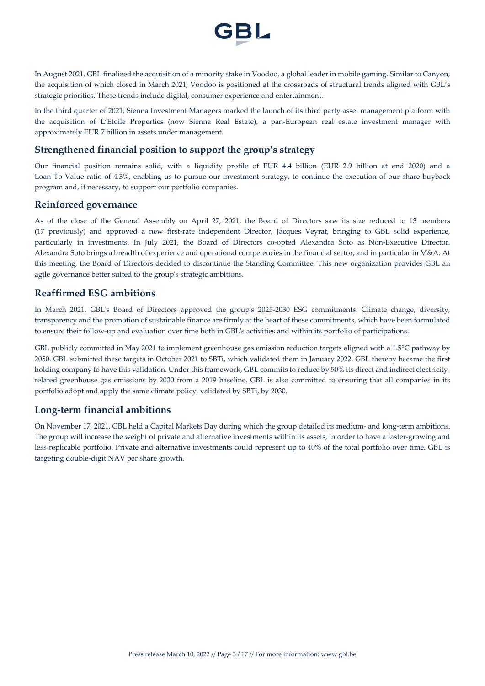

In August 2021, GBL finalized the acquisition of a minority stake in Voodoo, a global leader in mobile gaming. Similar to Canyon, the acquisition of which closed in March 2021, Voodoo is positioned at the crossroads of structural trends aligned with GBL's strategic priorities. These trends include digital, consumer experience and entertainment.

In the third quarter of 2021, Sienna Investment Managers marked the launch of its third party asset management platform with the acquisition of L'Etoile Properties (now Sienna Real Estate), a pan-European real estate investment manager with approximately EUR 7 billion in assets under management.

### **Strengthened financial position to support the group's strategy**

Our financial position remains solid, with a liquidity profile of EUR 4.4 billion (EUR 2.9 billion at end 2020) and a Loan To Value ratio of 4.3%, enabling us to pursue our investment strategy, to continue the execution of our share buyback program and, if necessary, to support our portfolio companies.

### **Reinforced governance**

As of the close of the General Assembly on April 27, 2021, the Board of Directors saw its size reduced to 13 members (17 previously) and approved a new first-rate independent Director, Jacques Veyrat, bringing to GBL solid experience, particularly in investments. In July 2021, the Board of Directors co-opted Alexandra Soto as Non-Executive Director. Alexandra Soto brings a breadth of experience and operational competencies in the financial sector, and in particular in M&A. At this meeting, the Board of Directors decided to discontinue the Standing Committee. This new organization provides GBL an agile governance better suited to the group's strategic ambitions.

### **Reaffirmed ESG ambitions**

In March 2021, GBL's Board of Directors approved the group's 2025-2030 ESG commitments. Climate change, diversity, transparency and the promotion of sustainable finance are firmly at the heart of these commitments, which have been formulated to ensure their follow-up and evaluation over time both in GBL's activities and within its portfolio of participations.

GBL publicly committed in May 2021 to implement greenhouse gas emission reduction targets aligned with a 1.5°C pathway by 2050. GBL submitted these targets in October 2021 to SBTi, which validated them in January 2022. GBL thereby became the first holding company to have this validation. Under this framework, GBL commits to reduce by 50% its direct and indirect electricityrelated greenhouse gas emissions by 2030 from a 2019 baseline. GBL is also committed to ensuring that all companies in its portfolio adopt and apply the same climate policy, validated by SBTi, by 2030.

### **Long-term financial ambitions**

On November 17, 2021, GBL held a Capital Markets Day during which the group detailed its medium- and long-term ambitions. The group will increase the weight of private and alternative investments within its assets, in order to have a faster-growing and less replicable portfolio. Private and alternative investments could represent up to 40% of the total portfolio over time. GBL is targeting double-digit NAV per share growth.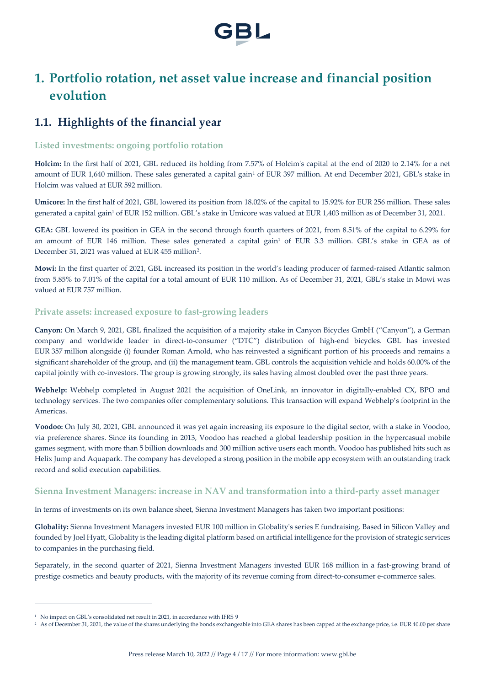

# **1. Portfolio rotation, net asset value increase and financial position evolution**

# **1.1. Highlights of the financial year**

### **Listed investments: ongoing portfolio rotation**

**Holcim:** In the first half of 2021, GBL reduced its holding from 7.57% of Holcim's capital at the end of 2020 to 2.14% for a net amount of EUR [1](#page-3-0),640 million. These sales generated a capital gain<sup>1</sup> of EUR 397 million. At end December 2021, GBL's stake in Holcim was valued at EUR 592 million.

**Umicore:** In the first half of 2021, GBL lowered its position from 18.02% of the capital to 15.92% for EUR 256 million. These sales generated a capital gain<sup>1</sup> of EUR 152 million. GBL's stake in Umicore was valued at EUR 1,403 million as of December 31, 2021.

GEA: GBL lowered its position in GEA in the second through fourth quarters of 2021, from 8.51% of the capital to 6.29% for an amount of EUR 146 million. These sales generated a capital gain<sup>1</sup> of EUR 3.3 million. GBL's stake in GEA as of December 31, 2021 was valued at EUR 455 million[2.](#page-3-1)

**Mowi:** In the first quarter of 2021, GBL increased its position in the world's leading producer of farmed-raised Atlantic salmon from 5.85% to 7.01% of the capital for a total amount of EUR 110 million. As of December 31, 2021, GBL's stake in Mowi was valued at EUR 757 million.

### **Private assets: increased exposure to fast-growing leaders**

**Canyon:** On March 9, 2021, GBL finalized the acquisition of a majority stake in Canyon Bicycles GmbH ("Canyon"), a German company and worldwide leader in direct-to-consumer ("DTC") distribution of high-end bicycles. GBL has invested EUR 357 million alongside (i) founder Roman Arnold, who has reinvested a significant portion of his proceeds and remains a significant shareholder of the group, and (ii) the management team. GBL controls the acquisition vehicle and holds 60.00% of the capital jointly with co-investors. The group is growing strongly, its sales having almost doubled over the past three years.

**Webhelp:** Webhelp completed in August 2021 the acquisition of OneLink, an innovator in digitally-enabled CX, BPO and technology services. The two companies offer complementary solutions. This transaction will expand Webhelp's footprint in the Americas.

**Voodoo:** On July 30, 2021, GBL announced it was yet again increasing its exposure to the digital sector, with a stake in Voodoo, via preference shares. Since its founding in 2013, Voodoo has reached a global leadership position in the hypercasual mobile games segment, with more than 5 billion downloads and 300 million active users each month. Voodoo has published hits such as Helix Jump and Aquapark. The company has developed a strong position in the mobile app ecosystem with an outstanding track record and solid execution capabilities.

### **Sienna Investment Managers: increase in NAV and transformation into a third-party asset manager**

In terms of investments on its own balance sheet, Sienna Investment Managers has taken two important positions:

**Globality:** Sienna Investment Managers invested EUR 100 million in Globality's series E fundraising. Based in Silicon Valley and founded by Joel Hyatt, Globality is the leading digital platform based on artificial intelligence for the provision of strategic services to companies in the purchasing field.

Separately, in the second quarter of 2021, Sienna Investment Managers invested EUR 168 million in a fast-growing brand of prestige cosmetics and beauty products, with the majority of its revenue coming from direct-to-consumer e-commerce sales.

<span id="page-3-0"></span><sup>&</sup>lt;sup>1</sup> No impact on GBL's consolidated net result in 2021, in accordance with IFRS 9

<span id="page-3-1"></span><sup>&</sup>lt;sup>2</sup> As of December 31, 2021, the value of the shares underlying the bonds exchangeable into GEA shares has been capped at the exchange price, i.e. EUR 40.00 per share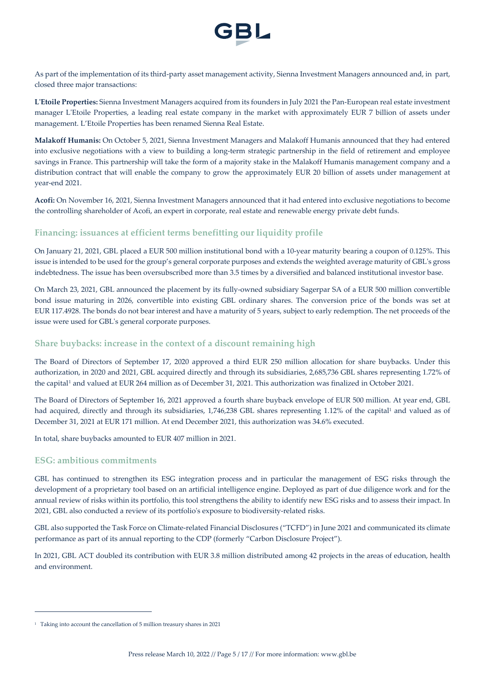

As part of the implementation of its third-party asset management activity, Sienna Investment Managers announced and, in part, closed three major transactions:

**L'Etoile Properties:** Sienna Investment Managers acquired from its founders in July 2021 the Pan-European real estate investment manager L'Etoile Properties, a leading real estate company in the market with approximately EUR 7 billion of assets under management. L'Etoile Properties has been renamed Sienna Real Estate.

**Malakoff Humanis:** On October 5, 2021, Sienna Investment Managers and Malakoff Humanis announced that they had entered into exclusive negotiations with a view to building a long-term strategic partnership in the field of retirement and employee savings in France. This partnership will take the form of a majority stake in the Malakoff Humanis management company and a distribution contract that will enable the company to grow the approximately EUR 20 billion of assets under management at year-end 2021.

**Acofi:** On November 16, 2021, Sienna Investment Managers announced that it had entered into exclusive negotiations to become the controlling shareholder of Acofi, an expert in corporate, real estate and renewable energy private debt funds.

### **Financing: issuances at efficient terms benefitting our liquidity profile**

On January 21, 2021, GBL placed a EUR 500 million institutional bond with a 10-year maturity bearing a coupon of 0.125%. This issue is intended to be used for the group's general corporate purposes and extends the weighted average maturity of GBL's gross indebtedness. The issue has been oversubscribed more than 3.5 times by a diversified and balanced institutional investor base.

On March 23, 2021, GBL announced the placement by its fully-owned subsidiary Sagerpar SA of a EUR 500 million convertible bond issue maturing in 2026, convertible into existing GBL ordinary shares. The conversion price of the bonds was set at EUR 117.4928. The bonds do not bear interest and have a maturity of 5 years, subject to early redemption. The net proceeds of the issue were used for GBL's general corporate purposes.

### **Share buybacks: increase in the context of a discount remaining high**

The Board of Directors of September 17, 2020 approved a third EUR 250 million allocation for share buybacks. Under this authorization, in 2020 and 2021, GBL acquired directly and through its subsidiaries, 2,685,736 GBL shares representing 1.72% of the capital<sup>[1](#page-4-0)</sup> and valued at EUR 264 million as of December 31, 2021. This authorization was finalized in October 2021.

The Board of Directors of September 16, 2021 approved a fourth share buyback envelope of EUR 500 million. At year end, GBL had acquired, directly and through its subsidiaries, 1,746,238 GBL shares representing 1.12% of the capital<sup>1</sup> and valued as of December 31, 2021 at EUR 171 million. At end December 2021, this authorization was 34.6% executed.

In total, share buybacks amounted to EUR 407 million in 2021.

#### **ESG: ambitious commitments**

GBL has continued to strengthen its ESG integration process and in particular the management of ESG risks through the development of a proprietary tool based on an artificial intelligence engine. Deployed as part of due diligence work and for the annual review of risks within its portfolio, this tool strengthens the ability to identify new ESG risks and to assess their impact. In 2021, GBL also conducted a review of its portfolio's exposure to biodiversity-related risks.

GBL also supported the Task Force on Climate-related Financial Disclosures ("TCFD") in June 2021 and communicated its climate performance as part of its annual reporting to the CDP (formerly "Carbon Disclosure Project").

In 2021, GBL ACT doubled its contribution with EUR 3.8 million distributed among 42 projects in the areas of education, health and environment.

<span id="page-4-0"></span><sup>&</sup>lt;sup>1</sup> Taking into account the cancellation of 5 million treasury shares in 2021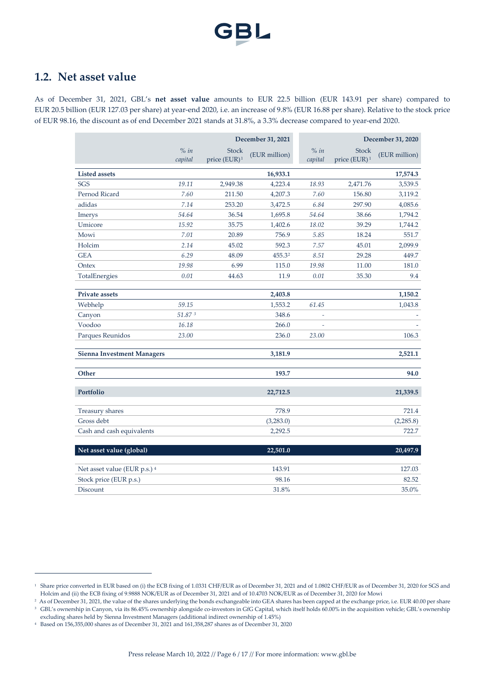# **1.2. Net asset value**

As of December 31, 2021, GBL's **net asset value** amounts to EUR 22.5 billion (EUR 143.91 per share) compared to EUR 20.5 billion (EUR 127.03 per share) at year-end 2020, i.e. an increase of 9.8% (EUR 16.88 per share). Relative to the stock price of EUR 98.16, the discount as of end December 2021 stands at 31.8%, a 3.3% decrease compared to year-end 2020.

|                                   |                 | December 31, 2021                        |               |                 |                                          | December 31, 2020 |
|-----------------------------------|-----------------|------------------------------------------|---------------|-----------------|------------------------------------------|-------------------|
|                                   | % in<br>capital | <b>Stock</b><br>price (EUR) <sup>1</sup> | (EUR million) | % in<br>capital | <b>Stock</b><br>price (EUR) <sup>1</sup> | (EUR million)     |
| <b>Listed</b> assets              |                 |                                          | 16,933.1      |                 |                                          | 17,574.3          |
| <b>SGS</b>                        | 19.11           | 2,949.38                                 | 4,223.4       | 18.93           | 2,471.76                                 | 3,539.5           |
| Pernod Ricard                     | 7.60            | 211.50                                   | 4,207.3       | 7.60            | 156.80                                   | 3,119.2           |
| adidas                            | 7.14            | 253.20                                   | 3,472.5       | 6.84            | 297.90                                   | 4,085.6           |
| Imerys                            | 54.64           | 36.54                                    | 1,695.8       | 54.64           | 38.66                                    | 1,794.2           |
| Umicore                           | 15.92           | 35.75                                    | 1,402.6       | 18.02           | 39.29                                    | 1,744.2           |
| Mowi                              | 7.01            | 20.89                                    | 756.9         | 5.85            | 18.24                                    | 551.7             |
| Holcim                            | 2.14            | 45.02                                    | 592.3         | 7.57            | 45.01                                    | 2,099.9           |
| <b>GEA</b>                        | 6.29            | 48.09                                    | 455.32        | 8.51            | 29.28                                    | 449.7             |
| Ontex                             | 19.98           | 6.99                                     | 115.0         | 19.98           | 11.00                                    | 181.0             |
| TotalEnergies                     | 0.01            | 44.63                                    | 11.9          | 0.01            | 35.30                                    | 9.4               |
|                                   |                 |                                          |               |                 |                                          |                   |
| Private assets                    |                 |                                          | 2,403.8       |                 |                                          | 1,150.2           |
| Webhelp                           | 59.15           |                                          | 1,553.2       | 61.45           |                                          | 1,043.8           |
| Canyon                            | 51.873          |                                          | 348.6         |                 |                                          |                   |
| Voodoo                            | 16.18           |                                          | 266.0         |                 |                                          |                   |
| Parques Reunidos                  | 23.00           |                                          | 236.0         | 23.00           |                                          | 106.3             |
| <b>Sienna Investment Managers</b> |                 |                                          | 3,181.9       |                 |                                          | 2,521.1           |
| Other                             |                 |                                          | 193.7         |                 |                                          | 94.0              |
|                                   |                 |                                          |               |                 |                                          |                   |
| Portfolio                         |                 |                                          | 22,712.5      |                 |                                          | 21,339.5          |
| Treasury shares                   |                 |                                          | 778.9         |                 |                                          | 721.4             |
| Gross debt                        |                 |                                          | (3,283.0)     |                 |                                          | (2,285.8)         |
| Cash and cash equivalents         |                 |                                          | 2,292.5       |                 |                                          | 722.7             |
| Net asset value (global)          |                 |                                          | 22,501.0      |                 |                                          | 20,497.9          |

| Net asset value (EUR p.s.) 4 | 143 91 | 127.03 |
|------------------------------|--------|--------|
| Stock price (EUR p.s.)       | 98.16  | 82.52  |
| Discount                     | 31.8%  | 35.0%  |

<span id="page-5-0"></span><sup>&</sup>lt;sup>1</sup> Share price converted in EUR based on (i) the ECB fixing of 1.0331 CHF/EUR as of December 31, 2021 and of 1.0802 CHF/EUR as of December 31, 2020 for SGS and Holcim and (ii) the ECB fixing of 9.9888 NOK/EUR as of December 31, 2021 and of 10.4703 NOK/EUR as of December 31, 2020 for Mowi

<span id="page-5-2"></span><span id="page-5-1"></span><sup>&</sup>lt;sup>2</sup> As of December 31, 2021, the value of the shares underlying the bonds exchangeable into GEA shares has been capped at the exchange price, i.e. EUR 40.00 per share <sup>3</sup> GBL's ownership in Canyon, via its 86.45% ownership alongside co-investors in GfG Capital, which itself holds 60.00% in the acquisition vehicle; GBL's ownership excluding shares held by Sienna Investment Managers (additional indirect ownership of 1.45%)

<span id="page-5-3"></span><sup>4</sup> Based on 156,355,000 shares as of December 31, 2021 and 161,358,287 shares as of December 31, 2020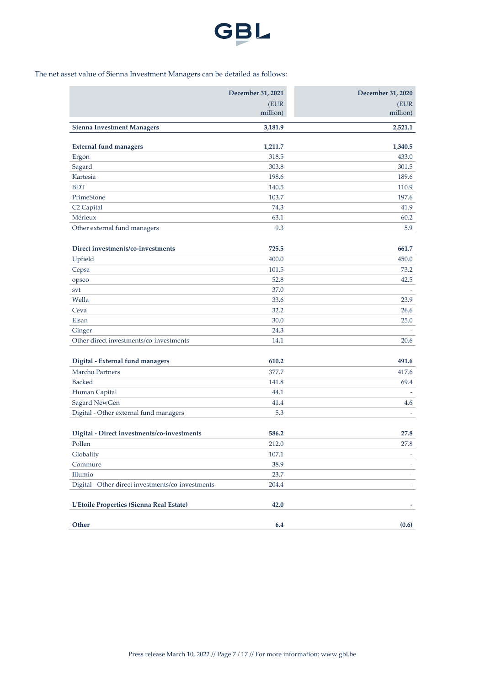

### The net asset value of Sienna Investment Managers can be detailed as follows:

|                                                   | December 31, 2021 | December 31, 2020 |
|---------------------------------------------------|-------------------|-------------------|
|                                                   | (EUR              | (EUR              |
|                                                   | million)          | million)          |
| <b>Sienna Investment Managers</b>                 | 3,181.9           | 2,521.1           |
|                                                   |                   |                   |
| <b>External fund managers</b>                     | 1,211.7           | 1,340.5           |
| Ergon                                             | 318.5<br>303.8    | 433.0<br>301.5    |
| Sagard                                            |                   |                   |
| Kartesia                                          | 198.6             | 189.6<br>110.9    |
| <b>BDT</b>                                        | 140.5             |                   |
| PrimeStone                                        | 103.7<br>74.3     | 197.6             |
| C <sub>2</sub> Capital<br>Mérieux                 | 63.1              | 41.9<br>60.2      |
|                                                   |                   |                   |
| Other external fund managers                      | 9.3               | 5.9               |
| Direct investments/co-investments                 | 725.5             | 661.7             |
| Upfield                                           | 400.0             | 450.0             |
| Cepsa                                             | 101.5             | 73.2              |
| opseo                                             | 52.8              | 42.5              |
| svt                                               | 37.0              |                   |
| Wella                                             | 33.6              | 23.9              |
| Ceva                                              | 32.2              | 26.6              |
| Elsan                                             | 30.0              | 25.0              |
| Ginger                                            | 24.3              |                   |
| Other direct investments/co-investments           | 14.1              | 20.6              |
| Digital - External fund managers                  | 610.2             | 491.6             |
| Marcho Partners                                   | 377.7             | 417.6             |
| <b>Backed</b>                                     | 141.8             | 69.4              |
| Human Capital                                     | 44.1              |                   |
| Sagard NewGen                                     | 41.4              | 4.6               |
| Digital - Other external fund managers            | 5.3               |                   |
|                                                   |                   |                   |
| Digital - Direct investments/co-investments       | 586.2             | 27.8              |
| Pollen                                            | 212.0             | 27.8              |
| Globality                                         | 107.1             |                   |
| Commure                                           | 38.9              |                   |
| Illumio                                           | 23.7              |                   |
| Digital - Other direct investments/co-investments | 204.4             |                   |
| L'Etoile Properties (Sienna Real Estate)          | 42.0              |                   |
| Other                                             | 6.4               | (0.6)             |
|                                                   |                   |                   |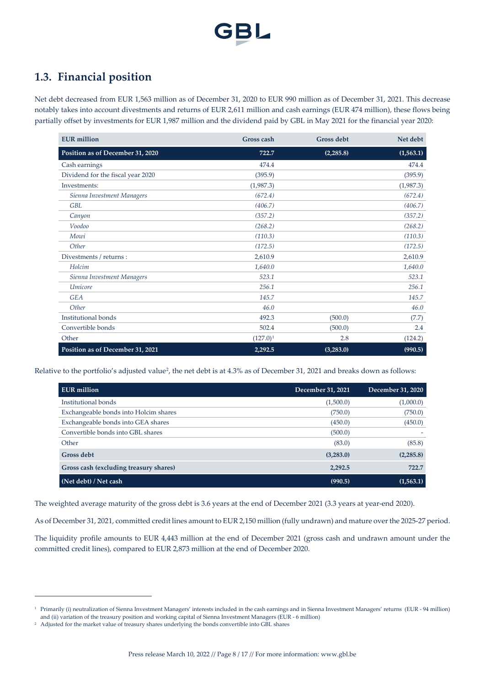

# **1.3. Financial position**

Net debt decreased from EUR 1,563 million as of December 31, 2020 to EUR 990 million as of December 31, 2021. This decrease notably takes into account divestments and returns of EUR 2,611 million and cash earnings (EUR 474 million), these flows being partially offset by investments for EUR 1,987 million and the dividend paid by GBL in May 2021 for the financial year 2020:

| <b>EUR</b> million                | Gross cash  | <b>Gross debt</b> | Net debt  |
|-----------------------------------|-------------|-------------------|-----------|
| Position as of December 31, 2020  | 722.7       | (2,285.8)         | (1,563.1) |
| Cash earnings                     | 474.4       |                   | 474.4     |
| Dividend for the fiscal year 2020 | (395.9)     |                   | (395.9)   |
| Investments:                      | (1,987.3)   |                   | (1,987.3) |
| Sienna Investment Managers        | (672.4)     |                   | (672.4)   |
| GBL                               | (406.7)     |                   | (406.7)   |
| Canyon                            | (357.2)     |                   | (357.2)   |
| Voodoo                            | (268.2)     |                   | (268.2)   |
| Mowi                              | (110.3)     |                   | (110.3)   |
| Other                             | (172.5)     |                   | (172.5)   |
| Divestments / returns :           | 2,610.9     |                   | 2,610.9   |
| Holcim                            | 1,640.0     |                   | 1,640.0   |
| Sienna Investment Managers        | 523.1       |                   | 523.1     |
| Umicore                           | 256.1       |                   | 256.1     |
| <b>GEA</b>                        | 145.7       |                   | 145.7     |
| Other                             | 46.0        |                   | 46.0      |
| Institutional bonds               | 492.3       | (500.0)           | (7.7)     |
| Convertible bonds                 | 502.4       | (500.0)           | 2.4       |
| Other                             | $(127.0)^1$ | 2.8               | (124.2)   |
| Position as of December 31, 2021  | 2,292.5     | (3,283.0)         | (990.5)   |

Relative to the portfolio's adjusted value<sup>[2](#page-7-1)</sup>, the net debt is at 4.3% as of December 31, 2021 and breaks down as follows:

| EUR million                            | December 31, 2021 | December 31, 2020 |
|----------------------------------------|-------------------|-------------------|
| Institutional bonds                    | (1,500.0)         | (1,000.0)         |
| Exchangeable bonds into Holcim shares  | (750.0)           | (750.0)           |
| Exchangeable bonds into GEA shares     | (450.0)           | (450.0)           |
| Convertible bonds into GBL shares      | (500.0)           |                   |
| Other                                  | (83.0)            | (85.8)            |
| <b>Gross debt</b>                      | (3,283.0)         | (2,285.8)         |
| Gross cash (excluding treasury shares) | 2,292.5           | 722.7             |
| (Net debt) / Net cash                  | (990.5)           | (1,563.1)         |

The weighted average maturity of the gross debt is 3.6 years at the end of December 2021 (3.3 years at year-end 2020).

As of December 31, 2021, committed credit lines amount to EUR 2,150 million (fully undrawn) and mature over the 2025-27 period.

The liquidity profile amounts to EUR 4,443 million at the end of December 2021 (gross cash and undrawn amount under the committed credit lines), compared to EUR 2,873 million at the end of December 2020.

<span id="page-7-0"></span><sup>1</sup> Primarily (i) neutralization of Sienna Investment Managers' interests included in the cash earnings and in Sienna Investment Managers' returns (EUR - 94 million) and (ii) variation of the treasury position and working capital of Sienna Investment Managers (EUR - 6 million)

<span id="page-7-1"></span><sup>&</sup>lt;sup>2</sup> Adjusted for the market value of treasury shares underlying the bonds convertible into GBL shares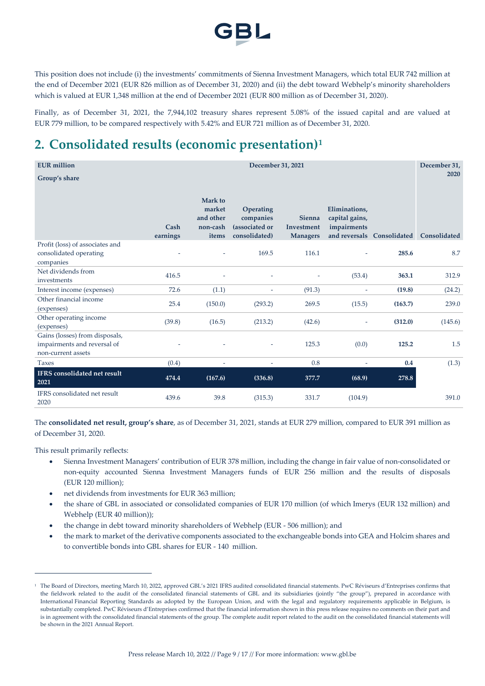

This position does not include (i) the investments' commitments of Sienna Investment Managers, which total EUR 742 million at the end of December 2021 (EUR 826 million as of December 31, 2020) and (ii) the debt toward Webhelp's minority shareholders which is valued at EUR 1,348 million at the end of December 2021 (EUR 800 million as of December 31, 2020).

Finally, as of December 31, 2021, the 7,944,102 treasury shares represent 5.08% of the issued capital and are valued at EUR 779 million, to be compared respectively with 5.42% and EUR 721 million as of December 31, 2020.

# **2. Consolidated results (economic presentation)[1](#page-8-0)**

| <b>EUR</b> million<br>Group's share                                                 | December 31, 2021 |                                                     |                                                           |                                         | December 31,<br>2020                           |                            |              |
|-------------------------------------------------------------------------------------|-------------------|-----------------------------------------------------|-----------------------------------------------------------|-----------------------------------------|------------------------------------------------|----------------------------|--------------|
|                                                                                     | Cash<br>earnings  | Mark to<br>market<br>and other<br>non-cash<br>items | Operating<br>companies<br>(associated or<br>consolidated) | Sienna<br>Investment<br><b>Managers</b> | Eliminations,<br>capital gains,<br>impairments | and reversals Consolidated | Consolidated |
| Profit (loss) of associates and<br>consolidated operating<br>companies              |                   |                                                     | 169.5                                                     | 116.1                                   |                                                | 285.6                      | 8.7          |
| Net dividends from<br>investments                                                   | 416.5             | L                                                   |                                                           |                                         | (53.4)                                         | 363.1                      | 312.9        |
| Interest income (expenses)                                                          | 72.6              | (1.1)                                               |                                                           | (91.3)                                  | $\overline{\phantom{a}}$                       | (19.8)                     | (24.2)       |
| Other financial income<br>(expenses)                                                | 25.4              | (150.0)                                             | (293.2)                                                   | 269.5                                   | (15.5)                                         | (163.7)                    | 239.0        |
| Other operating income<br>(expenses)                                                | (39.8)            | (16.5)                                              | (213.2)                                                   | (42.6)                                  |                                                | (312.0)                    | (145.6)      |
| Gains (losses) from disposals,<br>impairments and reversal of<br>non-current assets |                   |                                                     |                                                           | 125.3                                   | (0.0)                                          | 125.2                      | 1.5          |
| <b>Taxes</b>                                                                        | (0.4)             | $\overline{\phantom{a}}$                            | $\overline{\phantom{a}}$                                  | 0.8                                     | $\overline{\phantom{a}}$                       | 0.4                        | (1.3)        |
| <b>IFRS</b> consolidated net result<br>2021                                         | 474.4             | (167.6)                                             | (336.8)                                                   | 377.7                                   | (68.9)                                         | 278.8                      |              |
| IFRS consolidated net result<br>2020                                                | 439.6             | 39.8                                                | (315.3)                                                   | 331.7                                   | (104.9)                                        |                            | 391.0        |

The **consolidated net result, group's share**, as of December 31, 2021, stands at EUR 279 million, compared to EUR 391 million as of December 31, 2020.

This result primarily reflects:

- Sienna Investment Managers' contribution of EUR 378 million, including the change in fair value of non-consolidated or non-equity accounted Sienna Investment Managers funds of EUR 256 million and the results of disposals (EUR 120 million);
- net dividends from investments for EUR 363 million;
- the share of GBL in associated or consolidated companies of EUR 170 million (of which Imerys (EUR 132 million) and Webhelp (EUR 40 million));
- the change in debt toward minority shareholders of Webhelp (EUR 506 million); and
- the mark to market of the derivative components associated to the exchangeable bonds into GEA and Holcim shares and to convertible bonds into GBL shares for EUR - 140 million.

<span id="page-8-0"></span><sup>1</sup> The Board of Directors, meeting March 10, 2022, approved GBL's 2021 IFRS audited consolidated financial statements. PwC Réviseurs d'Entreprises confirms that the fieldwork related to the audit of the consolidated financial statements of GBL and its subsidiaries (jointly "the group"), prepared in accordance with International Financial Reporting Standards as adopted by the European Union, and with the legal and regulatory requirements applicable in Belgium, is substantially completed. PwC Réviseurs d'Entreprises confirmed that the financial information shown in this press release requires no comments on their part and is in agreement with the consolidated financial statements of the group. The complete audit report related to the audit on the consolidated financial statements will be shown in the 2021 Annual Report.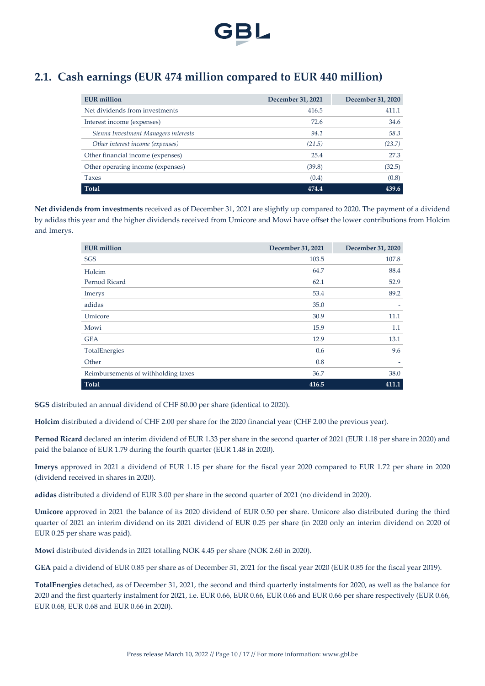

# **2.1. Cash earnings (EUR 474 million compared to EUR 440 million)**

| <b>EUR</b> million                   | December 31, 2021 | December 31, 2020 |
|--------------------------------------|-------------------|-------------------|
| Net dividends from investments       | 416.5             | 411.1             |
| Interest income (expenses)           | 72.6              | 34.6              |
| Sienna Investment Managers interests | 94.1              | 58.3              |
| Other interest income (expenses)     | (21.5)            | (23.7)            |
| Other financial income (expenses)    | 25.4              | 27.3              |
| Other operating income (expenses)    | (39.8)            | (32.5)            |
| Taxes                                | (0.4)             | (0.8)             |
| Total                                | 474.4             | 439.6             |

**Net dividends from investments** received as of December 31, 2021 are slightly up compared to 2020. The payment of a dividend by adidas this year and the higher dividends received from Umicore and Mowi have offset the lower contributions from Holcim and Imerys.

| <b>EUR</b> million                  | December 31, 2021 | December 31, 2020 |
|-------------------------------------|-------------------|-------------------|
| SGS                                 | 103.5             | 107.8             |
| Holcim                              | 64.7              | 88.4              |
| Pernod Ricard                       | 62.1              | 52.9              |
| Imerys                              | 53.4              | 89.2              |
| adidas                              | 35.0              |                   |
| Umicore                             | 30.9              | 11.1              |
| Mowi                                | 15.9              | 1.1               |
| <b>GEA</b>                          | 12.9              | 13.1              |
| TotalEnergies                       | 0.6               | 9.6               |
| Other                               | 0.8               |                   |
| Reimbursements of withholding taxes | 36.7              | 38.0              |
| <b>Total</b>                        | 416.5             | 411.1             |

**SGS** distributed an annual dividend of CHF 80.00 per share (identical to 2020).

**Holcim** distributed a dividend of CHF 2.00 per share for the 2020 financial year (CHF 2.00 the previous year).

**Pernod Ricard** declared an interim dividend of EUR 1.33 per share in the second quarter of 2021 (EUR 1.18 per share in 2020) and paid the balance of EUR 1.79 during the fourth quarter (EUR 1.48 in 2020).

**Imerys** approved in 2021 a dividend of EUR 1.15 per share for the fiscal year 2020 compared to EUR 1.72 per share in 2020 (dividend received in shares in 2020).

**adidas** distributed a dividend of EUR 3.00 per share in the second quarter of 2021 (no dividend in 2020).

**Umicore** approved in 2021 the balance of its 2020 dividend of EUR 0.50 per share. Umicore also distributed during the third quarter of 2021 an interim dividend on its 2021 dividend of EUR 0.25 per share (in 2020 only an interim dividend on 2020 of EUR 0.25 per share was paid).

**Mowi** distributed dividends in 2021 totalling NOK 4.45 per share (NOK 2.60 in 2020).

**GEA** paid a dividend of EUR 0.85 per share as of December 31, 2021 for the fiscal year 2020 (EUR 0.85 for the fiscal year 2019).

**TotalEnergies** detached, as of December 31, 2021, the second and third quarterly instalments for 2020, as well as the balance for 2020 and the first quarterly instalment for 2021, i.e. EUR 0.66, EUR 0.66, EUR 0.66 and EUR 0.66 per share respectively (EUR 0.66, EUR 0.68, EUR 0.68 and EUR 0.66 in 2020).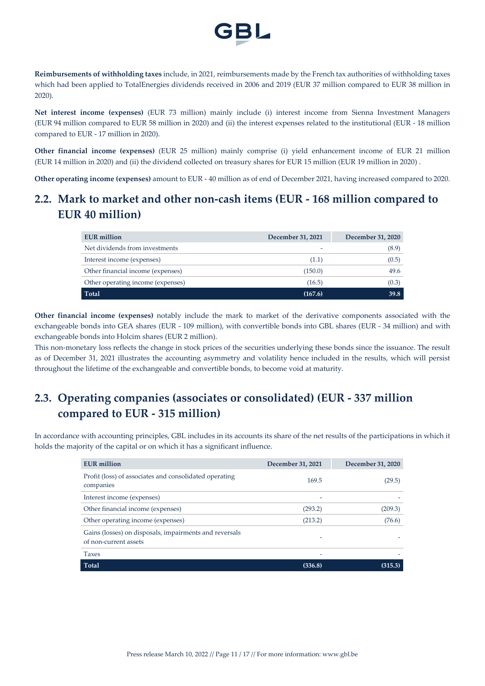

**Reimbursements of withholding taxes** include, in 2021, reimbursements made by the French tax authorities of withholding taxes which had been applied to TotalEnergies dividends received in 2006 and 2019 (EUR 37 million compared to EUR 38 million in 2020).

**Net interest income (expenses)** (EUR 73 million) mainly include (i) interest income from Sienna Investment Managers (EUR 94 million compared to EUR 58 million in 2020) and (ii) the interest expenses related to the institutional (EUR - 18 million compared to EUR - 17 million in 2020).

**Other financial income (expenses)** (EUR 25 million) mainly comprise (i) yield enhancement income of EUR 21 million (EUR 14 million in 2020) and (ii) the dividend collected on treasury shares for EUR 15 million (EUR 19 million in 2020) .

**Other operating income (expenses)** amount to EUR - 40 million as of end of December 2021, having increased compared to 2020.

# **2.2. Mark to market and other non-cash items (EUR - 168 million compared to EUR 40 million)**

| EUR million                       | December 31, 2021 | December 31, 2020 |
|-----------------------------------|-------------------|-------------------|
| Net dividends from investments    | -                 | (8.9)             |
| Interest income (expenses)        | (1.1)             | (0.5)             |
| Other financial income (expenses) | (150.0)           | 49.6              |
| Other operating income (expenses) | (16.5)            | (0.3)             |
| Total                             | (167.6)           | 39.8              |

**Other financial income (expenses)** notably include the mark to market of the derivative components associated with the exchangeable bonds into GEA shares (EUR - 109 million), with convertible bonds into GBL shares (EUR - 34 million) and with exchangeable bonds into Holcim shares (EUR 2 million).

This non-monetary loss reflects the change in stock prices of the securities underlying these bonds since the issuance. The result as of December 31, 2021 illustrates the accounting asymmetry and volatility hence included in the results, which will persist throughout the lifetime of the exchangeable and convertible bonds, to become void at maturity.

# **2.3. Operating companies (associates or consolidated) (EUR - 337 million compared to EUR - 315 million)**

In accordance with accounting principles, GBL includes in its accounts its share of the net results of the participations in which it holds the majority of the capital or on which it has a significant influence.

| <b>EUR</b> million                                                              | December 31, 2021 | December 31, 2020 |
|---------------------------------------------------------------------------------|-------------------|-------------------|
| Profit (loss) of associates and consolidated operating<br>companies             | 169.5             | (29.5)            |
| Interest income (expenses)                                                      |                   |                   |
| Other financial income (expenses)                                               | (293.2)           | (209.3)           |
| Other operating income (expenses)                                               | (213.2)           | (76.6)            |
| Gains (losses) on disposals, impairments and reversals<br>of non-current assets |                   |                   |
| Taxes                                                                           |                   |                   |
| Total                                                                           | (336.8)           | (315.3)           |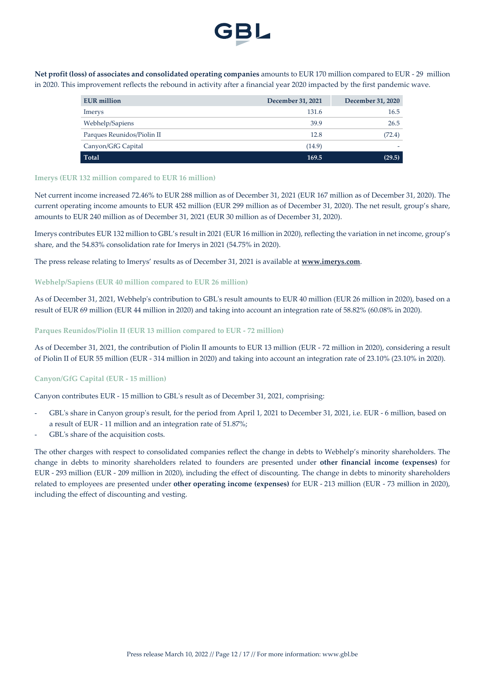

**Net profit (loss) of associates and consolidated operating companies** amounts to EUR 170 million compared to EUR - 29 million in 2020. This improvement reflects the rebound in activity after a financial year 2020 impacted by the first pandemic wave.

| <b>EUR</b> million         | December 31, 2021 | December 31, 2020 |
|----------------------------|-------------------|-------------------|
| Imerys                     | 131.6             | 16.5              |
| Webhelp/Sapiens            | 39.9              | 26.5              |
| Parques Reunidos/Piolin II | 12.8              | (72.4)            |
| Canyon/GfG Capital         | (14.9)            |                   |
| Total                      | 169.5             | (29.5)            |

#### **Imerys (EUR 132 million compared to EUR 16 million)**

Net current income increased 72.46% to EUR 288 million as of December 31, 2021 (EUR 167 million as of December 31, 2020). The current operating income amounts to EUR 452 million (EUR 299 million as of December 31, 2020). The net result, group's share, amounts to EUR 240 million as of December 31, 2021 (EUR 30 million as of December 31, 2020).

Imerys contributes EUR 132 million to GBL's result in 2021 (EUR 16 million in 2020), reflecting the variation in net income, group's share, and the 54.83% consolidation rate for Imerys in 2021 (54.75% in 2020).

The press release relating to Imerys' results as of December 31, 2021 is available at **[www.imerys.com](http://www.imerys.com/)**.

### **Webhelp/Sapiens (EUR 40 million compared to EUR 26 million)**

As of December 31, 2021, Webhelp's contribution to GBL's result amounts to EUR 40 million (EUR 26 million in 2020), based on a result of EUR 69 million (EUR 44 million in 2020) and taking into account an integration rate of 58.82% (60.08% in 2020).

#### **Parques Reunidos/Piolin II (EUR 13 million compared to EUR - 72 million)**

As of December 31, 2021, the contribution of Piolin II amounts to EUR 13 million (EUR - 72 million in 2020), considering a result of Piolin II of EUR 55 million (EUR - 314 million in 2020) and taking into account an integration rate of 23.10% (23.10% in 2020).

#### **Canyon/GfG Capital (EUR - 15 million)**

Canyon contributes EUR - 15 million to GBL's result as of December 31, 2021, comprising:

- GBL's share in Canyon group's result, for the period from April 1, 2021 to December 31, 2021, i.e. EUR 6 million, based on a result of EUR - 11 million and an integration rate of 51.87%;
- GBL's share of the acquisition costs.

The other charges with respect to consolidated companies reflect the change in debts to Webhelp's minority shareholders. The change in debts to minority shareholders related to founders are presented under **other financial income (expenses)** for EUR - 293 million (EUR - 209 million in 2020), including the effect of discounting. The change in debts to minority shareholders related to employees are presented under **other operating income (expenses)** for EUR - 213 million (EUR - 73 million in 2020), including the effect of discounting and vesting.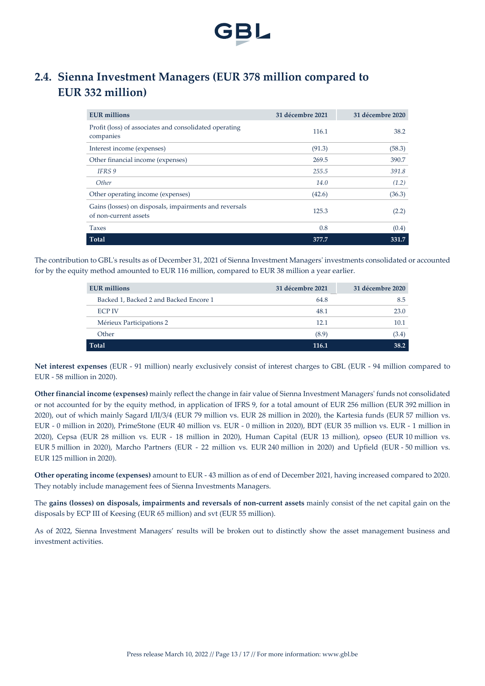

# **2.4. Sienna Investment Managers (EUR 378 million compared to EUR 332 million)**

| <b>EUR</b> millions                                                             | 31 décembre 2021 | 31 décembre 2020 |
|---------------------------------------------------------------------------------|------------------|------------------|
| Profit (loss) of associates and consolidated operating<br>companies             | 116.1            | 38.2             |
| Interest income (expenses)                                                      | (91.3)           | (58.3)           |
| Other financial income (expenses)                                               | 269.5            | 390.7            |
| IFRS 9                                                                          | 255.5            | 391.8            |
| Other                                                                           | 14.0             | (1.2)            |
| Other operating income (expenses)                                               | (42.6)           | (36.3)           |
| Gains (losses) on disposals, impairments and reversals<br>of non-current assets | 125.3            | (2.2)            |
| <b>Taxes</b>                                                                    | 0.8              | (0.4)            |
| Total                                                                           | 377.7            | 331.7            |

The contribution to GBL's results as of December 31, 2021 of Sienna Investment Managers' investments consolidated or accounted for by the equity method amounted to EUR 116 million, compared to EUR 38 million a year earlier.

| <b>EUR</b> millions                    | 31 décembre 2021 | 31 décembre 2020<br>___ |
|----------------------------------------|------------------|-------------------------|
| Backed 1, Backed 2 and Backed Encore 1 | 64.8             | 8.5                     |
| ECP IV                                 | 48.1             | 23.0                    |
| Mérieux Participations 2               | 12.1             | 10.1                    |
| Other                                  | (8.9)            | (3.4)                   |
| Total                                  | 116.1            | 38.2                    |

**Net interest expenses** (EUR - 91 million) nearly exclusively consist of interest charges to GBL (EUR - 94 million compared to EUR - 58 million in 2020).

**Other financial income (expenses)** mainly reflect the change in fair value of Sienna Investment Managers' funds not consolidated or not accounted for by the equity method, in application of IFRS 9, for a total amount of EUR 256 million (EUR 392 million in 2020), out of which mainly Sagard I/II/3/4 (EUR 79 million vs. EUR 28 million in 2020), the Kartesia funds (EUR 57 million vs. EUR - 0 million in 2020), PrimeStone (EUR 40 million vs. EUR - 0 million in 2020), BDT (EUR 35 million vs. EUR - 1 million in 2020), Cepsa (EUR 28 million vs. EUR - 18 million in 2020), Human Capital (EUR 13 million), opseo (EUR 10 million vs. EUR 5 million in 2020), Marcho Partners (EUR - 22 million vs. EUR 240 million in 2020) and Upfield (EUR - 50 million vs. EUR 125 million in 2020).

**Other operating income (expenses)** amount to EUR - 43 million as of end of December 2021, having increased compared to 2020. They notably include management fees of Sienna Investments Managers.

The **gains (losses) on disposals, impairments and reversals of non-current assets** mainly consist of the net capital gain on the disposals by ECP III of Keesing (EUR 65 million) and svt (EUR 55 million).

As of 2022, Sienna Investment Managers' results will be broken out to distinctly show the asset management business and investment activities.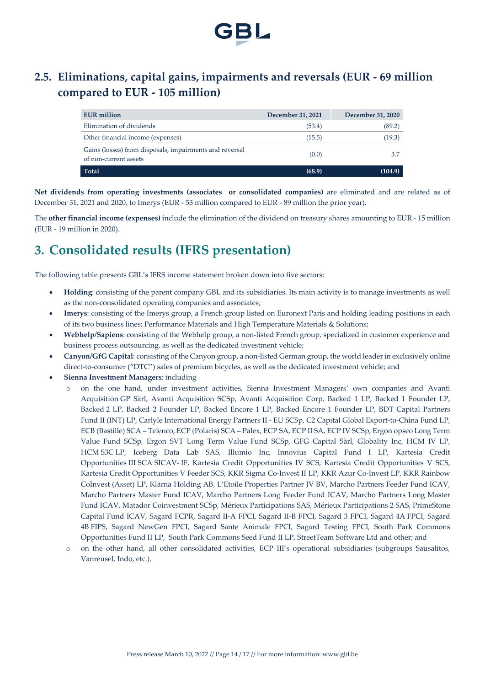

# **2.5. Eliminations, capital gains, impairments and reversals (EUR - 69 million compared to EUR - 105 million)**

| EUR million                                                                      | December 31, 2021 | December 31, 2020 |
|----------------------------------------------------------------------------------|-------------------|-------------------|
| Elimination of dividends                                                         | (53.4)            | (89.2)            |
| Other financial income (expenses)                                                | (15.5)            | (19.3)            |
| Gains (losses) from disposals, impairments and reversal<br>of non-current assets | (0.0)             | 3.7               |
| Total                                                                            | (68.9)            | (104.9)           |

**Net dividends from operating investments (associates or consolidated companies)** are eliminated and are related as of December 31, 2021 and 2020, to Imerys (EUR - 53 million compared to EUR - 89 million the prior year).

The **other financial income (expenses)** include the elimination of the dividend on treasury shares amounting to EUR - 15 million (EUR - 19 million in 2020).

# **3. Consolidated results (IFRS presentation)**

The following table presents GBL's IFRS income statement broken down into five sectors:

- **Holding**: consisting of the parent company GBL and its subsidiaries. Its main activity is to manage investments as well as the non-consolidated operating companies and associates;
- **Imerys**: consisting of the Imerys group, a French group listed on Euronext Paris and holding leading positions in each of its two business lines: Performance Materials and High Temperature Materials & Solutions;
- **Webhelp/Sapiens**: consisting of the Webhelp group, a non-listed French group, specialized in customer experience and business process outsourcing, as well as the dedicated investment vehicle;
- **Canyon/GfG Capital**: consisting of the Canyon group, a non-listed German group, the world leader in exclusively online direct-to-consumer ("DTC") sales of premium bicycles, as well as the dedicated investment vehicle; and
- **Sienna Investment Managers**: including
	- o on the one hand, under investment activities, Sienna Investment Managers' own companies and Avanti Acquisition GP Sàrl, Avanti Acquisition SCSp, Avanti Acquisition Corp, Backed 1 LP, Backed 1 Founder LP, Backed 2 LP, Backed 2 Founder LP, Backed Encore 1 LP, Backed Encore 1 Founder LP, BDT Capital Partners Fund II (INT) LP, Carlyle International Energy Partners II - EU SCSp, C2 Capital Global Export-to-China Fund LP, ECB (Bastille) SCA – Telenco, ECP (Polaris) SCA – Palex, ECP SA, ECP II SA, ECP IV SCSp, Ergon opseo Long Term Value Fund SCSp, Ergon SVT Long Term Value Fund SCSp, GFG Capital Sàrl, Globality Inc, HCM IV LP, HCM S3C LP, Iceberg Data Lab SAS, Illumio Inc, Innovius Capital Fund I LP, Kartesia Credit Opportunities III SCA SICAV- IF, Kartesia Credit Opportunities IV SCS, Kartesia Credit Opportunities V SCS, Kartesia Credit Opportunities V Feeder SCS, KKR Sigma Co-Invest II LP, KKR Azur Co-Invest LP, KKR Rainbow CoInvest (Asset) LP, Klarna Holding AB, L'Etoile Properties Partner JV BV, Marcho Partners Feeder Fund ICAV, Marcho Partners Master Fund ICAV, Marcho Partners Long Feeder Fund ICAV, Marcho Partners Long Master Fund ICAV, Matador Coinvestment SCSp, Mérieux Participations SAS, Mérieux Participations 2 SAS, PrimeStone Capital Fund ICAV, Sagard FCPR, Sagard II-A FPCI, Sagard II-B FPCI, Sagard 3 FPCI, Sagard 4A FPCI, Sagard 4B FIPS, Sagard NewGen FPCI, Sagard Sante Animale FPCI, Sagard Testing FPCI, South Park Commons Opportunities Fund II LP, South Park Commons Seed Fund II LP, StreetTeam Software Ltd and other; and
	- o on the other hand, all other consolidated activities, ECP III's operational subsidiaries (subgroups Sausalitos, Vanreusel, Indo, etc.).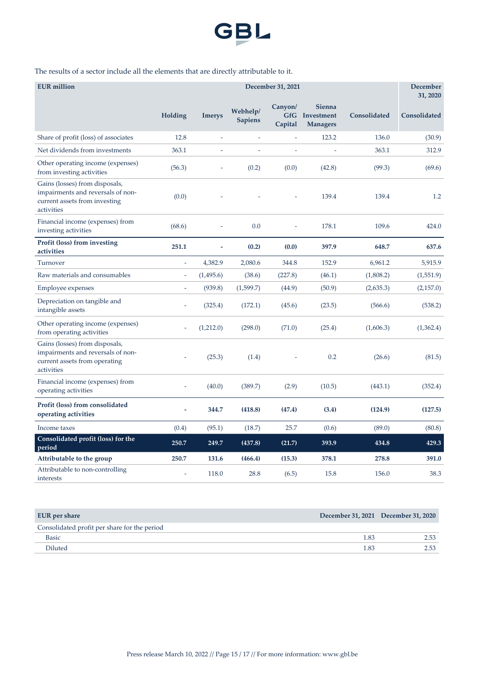

### The results of a sector include all the elements that are directly attributable to it.

| <b>EUR</b> million                                                                                                 | December 31, 2021        |               |                            |                                  | <b>December</b><br>31, 2020             |              |              |
|--------------------------------------------------------------------------------------------------------------------|--------------------------|---------------|----------------------------|----------------------------------|-----------------------------------------|--------------|--------------|
|                                                                                                                    | Holding                  | <b>Imerys</b> | Webhelp/<br><b>Sapiens</b> | Canyon/<br><b>GfG</b><br>Capital | Sienna<br>Investment<br><b>Managers</b> | Consolidated | Consolidated |
| Share of profit (loss) of associates                                                                               | 12.8                     | ÷,            | $\overline{\phantom{a}}$   | ä,                               | 123.2                                   | 136.0        | (30.9)       |
| Net dividends from investments                                                                                     | 363.1                    |               |                            |                                  |                                         | 363.1        | 312.9        |
| Other operating income (expenses)<br>from investing activities                                                     | (56.3)                   | J.            | (0.2)                      | (0.0)                            | (42.8)                                  | (99.3)       | (69.6)       |
| Gains (losses) from disposals,<br>impairments and reversals of non-<br>current assets from investing<br>activities | (0.0)                    |               |                            |                                  | 139.4                                   | 139.4        | 1.2          |
| Financial income (expenses) from<br>investing activities                                                           | (68.6)                   |               | 0.0                        |                                  | 178.1                                   | 109.6        | 424.0        |
| Profit (loss) from investing<br>activities                                                                         | 251.1                    | L,            | (0.2)                      | (0.0)                            | 397.9                                   | 648.7        | 637.6        |
| Turnover                                                                                                           | L                        | 4,382.9       | 2,080.6                    | 344.8                            | 152.9                                   | 6,961.2      | 5,915.9      |
| Raw materials and consumables                                                                                      | ä,                       | (1,495.6)     | (38.6)                     | (227.8)                          | (46.1)                                  | (1,808.2)    | (1,551.9)    |
| Employee expenses                                                                                                  | $\overline{\phantom{a}}$ | (939.8)       | (1,599.7)                  | (44.9)                           | (50.9)                                  | (2,635.3)    | (2,157.0)    |
| Depreciation on tangible and<br>intangible assets                                                                  | L,                       | (325.4)       | (172.1)                    | (45.6)                           | (23.5)                                  | (566.6)      | (538.2)      |
| Other operating income (expenses)<br>from operating activities                                                     | L                        | (1,212.0)     | (298.0)                    | (71.0)                           | (25.4)                                  | (1,606.3)    | (1,362.4)    |
| Gains (losses) from disposals,<br>impairments and reversals of non-<br>current assets from operating<br>activities |                          | (25.3)        | (1.4)                      |                                  | 0.2                                     | (26.6)       | (81.5)       |
| Financial income (expenses) from<br>operating activities                                                           | L,                       | (40.0)        | (389.7)                    | (2.9)                            | (10.5)                                  | (443.1)      | (352.4)      |
| Profit (loss) from consolidated<br>operating activities                                                            | -                        | 344.7         | (418.8)                    | (47.4)                           | (3.4)                                   | (124.9)      | (127.5)      |
| Income taxes                                                                                                       | (0.4)                    | (95.1)        | (18.7)                     | 25.7                             | (0.6)                                   | (89.0)       | (80.8)       |
| Consolidated profit (loss) for the<br>period                                                                       | 250.7                    | 249.7         | (437.8)                    | (21.7)                           | 393.9                                   | 434.8        | 429.3        |
| Attributable to the group                                                                                          | 250.7                    | 131.6         | (466.4)                    | (15.3)                           | 378.1                                   | 278.8        | 391.0        |
| Attributable to non-controlling<br>interests                                                                       | L,                       | 118.0         | 28.8                       | (6.5)                            | 15.8                                    | 156.0        | 38.3         |

| EUR per share                                |      | December 31, 2021 December 31, 2020 |
|----------------------------------------------|------|-------------------------------------|
| Consolidated profit per share for the period |      |                                     |
| <b>Basic</b>                                 | -.83 |                                     |
| Diluted                                      | -83  |                                     |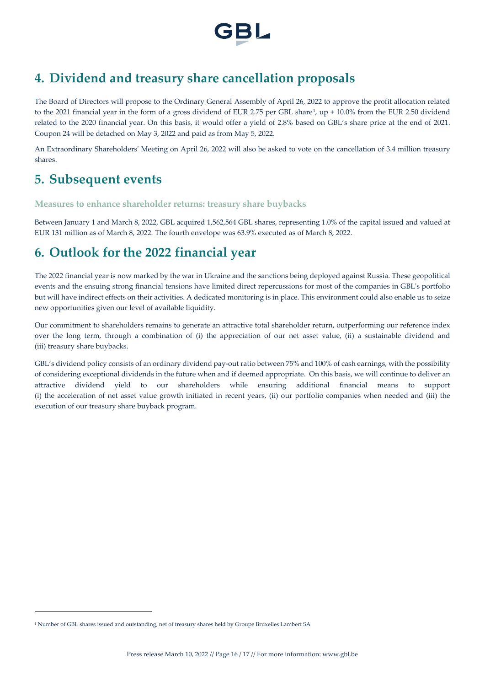

# **4. Dividend and treasury share cancellation proposals**

The Board of Directors will propose to the Ordinary General Assembly of April 26, 2022 to approve the profit allocation related to the 2021 financial year in the form of a gross dividend of EUR 2.75 per GBL share[1](#page-15-0), up + 10.0% from the EUR 2.50 dividend related to the 2020 financial year. On this basis, it would offer a yield of 2.8% based on GBL's share price at the end of 2021. Coupon 24 will be detached on May 3, 2022 and paid as from May 5, 2022.

An Extraordinary Shareholders' Meeting on April 26, 2022 will also be asked to vote on the cancellation of 3.4 million treasury shares.

# **5. Subsequent events**

**Measures to enhance shareholder returns: treasury share buybacks** 

Between January 1 and March 8, 2022, GBL acquired 1,562,564 GBL shares, representing 1.0% of the capital issued and valued at EUR 131 million as of March 8, 2022. The fourth envelope was 63.9% executed as of March 8, 2022.

# **6. Outlook for the 2022 financial year**

The 2022 financial year is now marked by the war in Ukraine and the sanctions being deployed against Russia. These geopolitical events and the ensuing strong financial tensions have limited direct repercussions for most of the companies in GBL's portfolio but will have indirect effects on their activities. A dedicated monitoring is in place. This environment could also enable us to seize new opportunities given our level of available liquidity.

Our commitment to shareholders remains to generate an attractive total shareholder return, outperforming our reference index over the long term, through a combination of (i) the appreciation of our net asset value, (ii) a sustainable dividend and (iii) treasury share buybacks.

GBL's dividend policy consists of an ordinary dividend pay-out ratio between 75% and 100% of cash earnings, with the possibility of considering exceptional dividends in the future when and if deemed appropriate. On this basis, we will continue to deliver an attractive dividend yield to our shareholders while ensuring additional financial means to support (i) the acceleration of net asset value growth initiated in recent years, (ii) our portfolio companies when needed and (iii) the execution of our treasury share buyback program.

<span id="page-15-0"></span><sup>1</sup> Number of GBL shares issued and outstanding, net of treasury shares held by Groupe Bruxelles Lambert SA